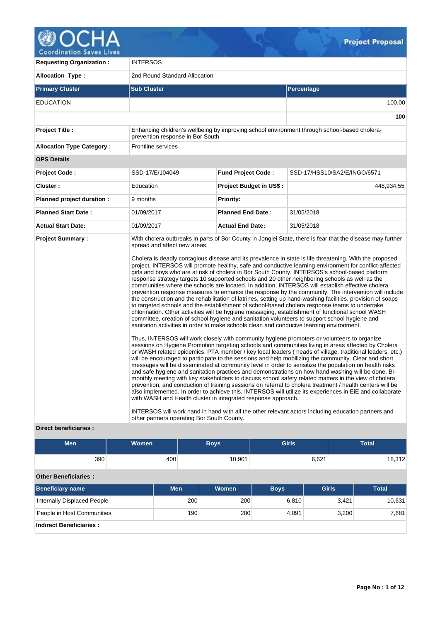

| <b>Requesting Organization:</b>  | <b>INTERSOS</b>                                                                                                                                                                                                                         |                                |                                                                                                                                                                                                                                                                                                                                                                                                                                                                                                                                                                                                                                                                                                                                                                                                                                                                                                                                                                                                                                                                                                                                                                                                                                                                                                                                                                                                                                                                                                                                                                                                                                                                                                                                                                                                                                                                                                                                                                                                                                                                                                                                                                                                                                                          |  |  |  |  |  |  |  |
|----------------------------------|-----------------------------------------------------------------------------------------------------------------------------------------------------------------------------------------------------------------------------------------|--------------------------------|----------------------------------------------------------------------------------------------------------------------------------------------------------------------------------------------------------------------------------------------------------------------------------------------------------------------------------------------------------------------------------------------------------------------------------------------------------------------------------------------------------------------------------------------------------------------------------------------------------------------------------------------------------------------------------------------------------------------------------------------------------------------------------------------------------------------------------------------------------------------------------------------------------------------------------------------------------------------------------------------------------------------------------------------------------------------------------------------------------------------------------------------------------------------------------------------------------------------------------------------------------------------------------------------------------------------------------------------------------------------------------------------------------------------------------------------------------------------------------------------------------------------------------------------------------------------------------------------------------------------------------------------------------------------------------------------------------------------------------------------------------------------------------------------------------------------------------------------------------------------------------------------------------------------------------------------------------------------------------------------------------------------------------------------------------------------------------------------------------------------------------------------------------------------------------------------------------------------------------------------------------|--|--|--|--|--|--|--|
| <b>Allocation Type:</b>          | 2nd Round Standard Allocation                                                                                                                                                                                                           |                                |                                                                                                                                                                                                                                                                                                                                                                                                                                                                                                                                                                                                                                                                                                                                                                                                                                                                                                                                                                                                                                                                                                                                                                                                                                                                                                                                                                                                                                                                                                                                                                                                                                                                                                                                                                                                                                                                                                                                                                                                                                                                                                                                                                                                                                                          |  |  |  |  |  |  |  |
| <b>Primary Cluster</b>           | <b>Sub Cluster</b>                                                                                                                                                                                                                      |                                | Percentage                                                                                                                                                                                                                                                                                                                                                                                                                                                                                                                                                                                                                                                                                                                                                                                                                                                                                                                                                                                                                                                                                                                                                                                                                                                                                                                                                                                                                                                                                                                                                                                                                                                                                                                                                                                                                                                                                                                                                                                                                                                                                                                                                                                                                                               |  |  |  |  |  |  |  |
| <b>EDUCATION</b>                 |                                                                                                                                                                                                                                         |                                | 100.00                                                                                                                                                                                                                                                                                                                                                                                                                                                                                                                                                                                                                                                                                                                                                                                                                                                                                                                                                                                                                                                                                                                                                                                                                                                                                                                                                                                                                                                                                                                                                                                                                                                                                                                                                                                                                                                                                                                                                                                                                                                                                                                                                                                                                                                   |  |  |  |  |  |  |  |
|                                  |                                                                                                                                                                                                                                         |                                | 100                                                                                                                                                                                                                                                                                                                                                                                                                                                                                                                                                                                                                                                                                                                                                                                                                                                                                                                                                                                                                                                                                                                                                                                                                                                                                                                                                                                                                                                                                                                                                                                                                                                                                                                                                                                                                                                                                                                                                                                                                                                                                                                                                                                                                                                      |  |  |  |  |  |  |  |
| <b>Project Title:</b>            | prevention response in Bor South                                                                                                                                                                                                        |                                | Enhancing children's wellbeing by improving school environment through school-based cholera-                                                                                                                                                                                                                                                                                                                                                                                                                                                                                                                                                                                                                                                                                                                                                                                                                                                                                                                                                                                                                                                                                                                                                                                                                                                                                                                                                                                                                                                                                                                                                                                                                                                                                                                                                                                                                                                                                                                                                                                                                                                                                                                                                             |  |  |  |  |  |  |  |
| <b>Allocation Type Category:</b> | <b>Frontline services</b>                                                                                                                                                                                                               |                                |                                                                                                                                                                                                                                                                                                                                                                                                                                                                                                                                                                                                                                                                                                                                                                                                                                                                                                                                                                                                                                                                                                                                                                                                                                                                                                                                                                                                                                                                                                                                                                                                                                                                                                                                                                                                                                                                                                                                                                                                                                                                                                                                                                                                                                                          |  |  |  |  |  |  |  |
| <b>OPS Details</b>               |                                                                                                                                                                                                                                         |                                |                                                                                                                                                                                                                                                                                                                                                                                                                                                                                                                                                                                                                                                                                                                                                                                                                                                                                                                                                                                                                                                                                                                                                                                                                                                                                                                                                                                                                                                                                                                                                                                                                                                                                                                                                                                                                                                                                                                                                                                                                                                                                                                                                                                                                                                          |  |  |  |  |  |  |  |
| <b>Project Code:</b>             | SSD-17/E/104049                                                                                                                                                                                                                         | <b>Fund Project Code:</b>      | SSD-17/HSS10/SA2/E/INGO/6571                                                                                                                                                                                                                                                                                                                                                                                                                                                                                                                                                                                                                                                                                                                                                                                                                                                                                                                                                                                                                                                                                                                                                                                                                                                                                                                                                                                                                                                                                                                                                                                                                                                                                                                                                                                                                                                                                                                                                                                                                                                                                                                                                                                                                             |  |  |  |  |  |  |  |
| Cluster:                         | Education                                                                                                                                                                                                                               | <b>Project Budget in US\$:</b> | 448,934.55                                                                                                                                                                                                                                                                                                                                                                                                                                                                                                                                                                                                                                                                                                                                                                                                                                                                                                                                                                                                                                                                                                                                                                                                                                                                                                                                                                                                                                                                                                                                                                                                                                                                                                                                                                                                                                                                                                                                                                                                                                                                                                                                                                                                                                               |  |  |  |  |  |  |  |
| Planned project duration :       | 9 months                                                                                                                                                                                                                                | <b>Priority:</b>               |                                                                                                                                                                                                                                                                                                                                                                                                                                                                                                                                                                                                                                                                                                                                                                                                                                                                                                                                                                                                                                                                                                                                                                                                                                                                                                                                                                                                                                                                                                                                                                                                                                                                                                                                                                                                                                                                                                                                                                                                                                                                                                                                                                                                                                                          |  |  |  |  |  |  |  |
| <b>Planned Start Date:</b>       | 01/09/2017                                                                                                                                                                                                                              | <b>Planned End Date:</b>       | 31/05/2018                                                                                                                                                                                                                                                                                                                                                                                                                                                                                                                                                                                                                                                                                                                                                                                                                                                                                                                                                                                                                                                                                                                                                                                                                                                                                                                                                                                                                                                                                                                                                                                                                                                                                                                                                                                                                                                                                                                                                                                                                                                                                                                                                                                                                                               |  |  |  |  |  |  |  |
| <b>Actual Start Date:</b>        | 01/09/2017                                                                                                                                                                                                                              | <b>Actual End Date:</b>        | 31/05/2018                                                                                                                                                                                                                                                                                                                                                                                                                                                                                                                                                                                                                                                                                                                                                                                                                                                                                                                                                                                                                                                                                                                                                                                                                                                                                                                                                                                                                                                                                                                                                                                                                                                                                                                                                                                                                                                                                                                                                                                                                                                                                                                                                                                                                                               |  |  |  |  |  |  |  |
| <b>Project Summary:</b>          | spread and affect new areas.<br>sanitation activities in order to make schools clean and conducive learning environment.<br>with WASH and Health cluster in integrated response approach.<br>other partners operating Bor South County. |                                | With cholera outbreaks in parts of Bor County in Jonglei State, there is fear that the disease may further<br>Cholera is deadly contagious disease and its prevalence in state is life threatening. With the proposed<br>project, INTERSOS will promote healthy, safe and conductive learning environment for conflict-affected<br>girls and boys who are at risk of cholera in Bor South County. INTERSOS's school-based platform<br>response strategy targets 10 supported schools and 20 other neighboring schools as well as the<br>communities where the schools are located. In addition, INTERSOS will establish effective cholera<br>prevention response measures to enhance the response by the community. The intervention will include<br>the construction and the rehabilitation of latrines, setting up hand-washing facilities, provision of soaps<br>to targeted schools and the establishment of school-based cholera response teams to undertake<br>chlorination. Other activities will be hygiene messaging, establishment of functional school WASH<br>committee, creation of school hygiene and sanitation volunteers to support school hygiene and<br>Thus, INTERSOS will work closely with community hygiene promoters or volunteers to organize<br>sessions on Hygiene Promotion targeting schools and communities living in areas affected by Cholera<br>or WASH related epidemics. PTA member / key local leaders (heads of village, traditional leaders, etc.)<br>will be encouraged to participate to the sessions and help mobilizing the community. Clear and short<br>messages will be disseminated at community level in order to sensitize the population on health risks<br>and safe hygiene and sanitation practices and demonstrations on how hand washing will be done. Bi-<br>monthly meeting with key stakeholders to discuss school safety related matters in the view of cholera<br>prevention, and conduction of training sessions on referral to cholera treatment / health centers will be<br>also implemented. In order to achieve this, INTERSOS will utilize its experiences in EiE and collaborate<br>INTERSOS will work hand in hand with all the other relevant actors including education partners and |  |  |  |  |  |  |  |

**Direct beneficiaries :**

| <b>Men</b>                         | <b>Women</b> |            | <b>Boys</b> | <b>Girls</b> |              | <b>Total</b> |  |  |  |  |  |  |
|------------------------------------|--------------|------------|-------------|--------------|--------------|--------------|--|--|--|--|--|--|
| 390                                |              | 400        | 10,901      |              | 6,621        | 18,312       |  |  |  |  |  |  |
| <b>Other Beneficiaries:</b>        |              |            |             |              |              |              |  |  |  |  |  |  |
| <b>Beneficiary name</b>            |              | <b>Men</b> | Women       | <b>Boys</b>  | <b>Girls</b> | <b>Total</b> |  |  |  |  |  |  |
| <b>Internally Displaced People</b> |              |            | 200<br>200  | 6,810        | 3,421        | 10,631       |  |  |  |  |  |  |
| People in Host Communities         |              |            | 190<br>200  | 4,091        | 3,200        | 7,681        |  |  |  |  |  |  |
| <b>Indirect Beneficiaries:</b>     |              |            |             |              |              |              |  |  |  |  |  |  |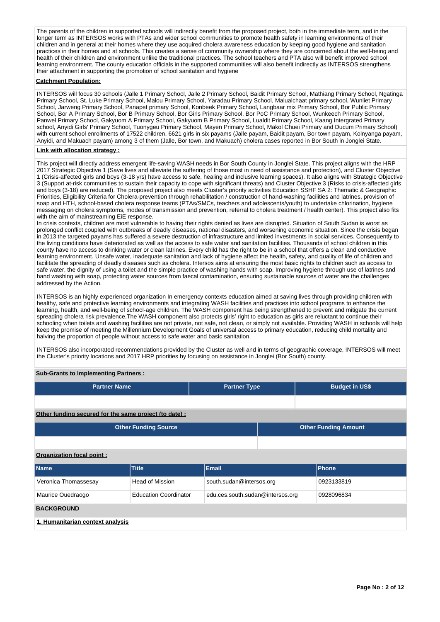The parents of the children in supported schools will indirectly benefit from the proposed project, both in the immediate term, and in the longer term as INTERSOS works with PTAs and wider school communities to promote health safety in learning environments of their children and in general at their homes where they use acquired cholera awareness education by keeping good hygiene and sanitation practices in their homes and at schools. This creates a sense of community ownership where they are concerned about the well-being and health of their children and environment unlike the traditional practices. The school teachers and PTA also will benefit improved school learning environment. The county education officials in the supported communities will also benefit indirectly as INTERSOS strengthens their attachment in supporting the promotion of school sanitation and hygiene

# **Catchment Population:**

INTERSOS will focus 30 schools (Jalle 1 Primary School, Jalle 2 Primary School, Baidit Primary School, Mathiang Primary School, Ngatinga Primary School, St. Luke Primary School, Malou Primary School, Yaradau Primary School, Malualchaat primary school, Wunliet Primary School, Jarweng Primary School, Panapet primary School, Konbeek Primary School, Langbaar mix Primary School, Bor Public Primary School, Bor A Primary School, Bor B Primary School, Bor Girls Primary School, Bor PoC Primary School, Wunkeech Primary School, Panwel Primary School, Gakyuom A Primary School, Gakyuom B Primary School, Lualdit Primary School, Kaang Intergrated Primary school, Anyidi Girls' Primary School, Tuonygeu Primary School, Mayen Primary School, Makol Chuei Primary and Ducum Primary School) with current school enrollments of 17522 children, 6621 girls in six payams (Jalle payam, Baidit payam, Bor town payam, Kolnyanga payam, Anyidi, and Makuach payam) among 3 of them (Jalle, Bor town, and Makuach) cholera cases reported in Bor South in Jonglei State.

### **Link with allocation strategy :**

This project will directly address emergent life-saving WASH needs in Bor South County in Jonglei State. This project aligns with the HRP 2017 Strategic Objective 1 (Save lives and alleviate the suffering of those most in need of assistance and protection), and Cluster Objective 1 (Crisis-affected girls and boys (3-18 yrs) have access to safe, healing and inclusive learning spaces). It also aligns with Strategic Objective 3 (Support at-risk communities to sustain their capacity to cope with significant threats) and Cluster Objective 3 (Risks to crisis-affected girls and boys (3-18) are reduced). The proposed project also meets Cluster's priority activities Education SSHF SA 2: Thematic & Geographic Priorities, Eligibility Criteria for Cholera-prevention through rehabilitation / construction of hand-washing facilities and latrines, provision of soap and HTH, school-based cholera response teams (PTAs/SMCs, teachers and adolescents/youth) to undertake chlorination, hygiene messaging on cholera symptoms, modes of transmission and prevention, referral to cholera treatment / health center). This project also fits with the aim of mainstreaming EiE response.

In crisis contexts, children are most vulnerable to having their rights denied as lives are disrupted. Situation of South Sudan is worst as prolonged conflict coupled with outbreaks of deadly diseases, national disasters, and worsening economic situation. Since the crisis began in 2013 the targeted payams has suffered a severe destruction of infrastructure and limited investments in social services. Consequently to the living conditions have deteriorated as well as the access to safe water and sanitation facilities. Thousands of school children in this county have no access to drinking water or clean latrines. Every child has the right to be in a school that offers a clean and conductive learning environment. Unsafe water, inadequate sanitation and lack of hygiene affect the health, safety, and quality of life of children and facilitate the spreading of deadly diseases such as cholera. Intersos aims at ensuring the most basic rights to children such as access to safe water, the dignity of using a toilet and the simple practice of washing hands with soap. Improving hygiene through use of latrines and hand washing with soap, protecting water sources from faecal contamination, ensuring sustainable sources of water are the challenges addressed by the Action.

INTERSOS is an highly experienced organization In emergency contexts education aimed at saving lives through providing children with healthy, safe and protective learning environments and integrating WASH facilities and practices into school programs to enhance the learning, health, and well-being of school-age children. The WASH component has being strengthened to prevent and mitigate the current spreading cholera risk prevalence.The WASH component also protects girls' right to education as girls are reluctant to continue their schooling when toilets and washing facilities are not private, not safe, not clean, or simply not available. Providing WASH in schools will help keep the promise of meeting the Millennium Development Goals of universal access to primary education, reducing child mortality and halving the proportion of people without access to safe water and basic sanitation.

INTERSOS also incorporated recommendations provided by the Cluster as well and in terms of geographic coverage, INTERSOS will meet the Cluster's priority locations and 2017 HRP priorities by focusing on assistance in Jonglei (Bor South) county.

# **Sub-Grants to Implementing Partners :**

| <b>Partner Name</b>                                   |                              | <b>Partner Type</b>              |  |                             | <b>Budget in US\$</b> |  |  |  |  |  |  |
|-------------------------------------------------------|------------------------------|----------------------------------|--|-----------------------------|-----------------------|--|--|--|--|--|--|
|                                                       |                              |                                  |  |                             |                       |  |  |  |  |  |  |
| Other funding secured for the same project (to date): |                              |                                  |  |                             |                       |  |  |  |  |  |  |
|                                                       | <b>Other Funding Source</b>  |                                  |  | <b>Other Funding Amount</b> |                       |  |  |  |  |  |  |
|                                                       |                              |                                  |  |                             |                       |  |  |  |  |  |  |
| Organization focal point:                             |                              |                                  |  |                             |                       |  |  |  |  |  |  |
| Name                                                  | <b>Title</b>                 | <b>Email</b>                     |  |                             | <b>Phone</b>          |  |  |  |  |  |  |
| Veronica Thomassesay                                  | <b>Head of Mission</b>       | south.sudan@intersos.org         |  |                             | 0923133819            |  |  |  |  |  |  |
| Maurice Ouedraogo                                     | <b>Education Coordinator</b> | edu.ces.south.sudan@intersos.org |  |                             | 0928096834            |  |  |  |  |  |  |
| <b>BACKGROUND</b>                                     |                              |                                  |  |                             |                       |  |  |  |  |  |  |
| 1. Humanitarian context analysis                      |                              |                                  |  |                             |                       |  |  |  |  |  |  |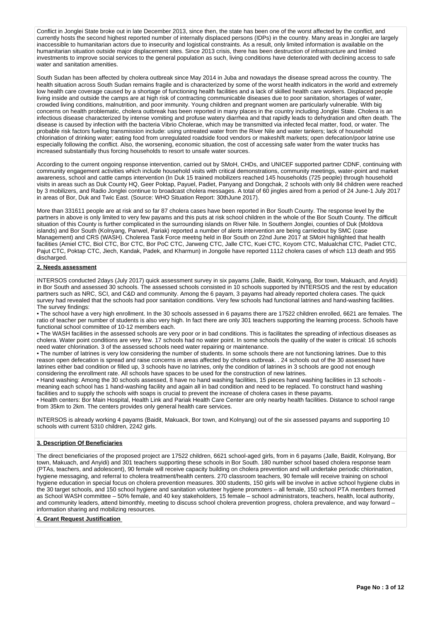Conflict in Jonglei State broke out in late December 2013, since then, the state has been one of the worst affected by the conflict, and currently hosts the second highest reported number of internally displaced persons (IDPs) in the country. Many areas in Jonglei are largely inaccessible to humanitarian actors due to insecurity and logistical constraints. As a result, only limited information is available on the humanitarian situation outside major displacement sites. Since 2013 crisis, there has been destruction of infrastructure and limited investments to improve social services to the general population as such, living conditions have deteriorated with declining access to safe water and sanitation amenities.

South Sudan has been affected by cholera outbreak since May 2014 in Juba and nowadays the disease spread across the country. The health situation across South Sudan remains fragile and is characterized by some of the worst health indicators in the world and extremely low health care coverage caused by a shortage of functioning health facilities and a lack of skilled health care workers. Displaced people living inside and outside the camps are at high risk of contracting communicable diseases due to poor sanitation, shortages of water, crowded living conditions, malnutrition, and poor immunity. Young children and pregnant women are particularly vulnerable. With big concerns on health problematic, cholera outbreak has been reported in many places in the country including Jonglei State. Cholera is an infectious disease characterized by intense vomiting and profuse watery diarrhea and that rapidly leads to dehydration and often death. The disease is caused by infection with the bacteria Vibrio Cholerae, which may be transmitted via infected fecal matter, food, or water. The probable risk factors fueling transmission include: using untreated water from the River Nile and water tankers; lack of household chlorination of drinking water; eating food from unregulated roadside food vendors or makeshift markets; open defecation/poor latrine use especially following the conflict. Also, the worsening, economic situation, the cost of accessing safe water from the water trucks has increased substantially thus forcing households to resort to unsafe water sources.

According to the current ongoing response intervention, carried out by SMoH, CHDs, and UNICEF supported partner CDNF, continuing with community engagement activities which include household visits with critical demonstrations, community meetings, water-point and market awareness, school and cattle camps intervention (In Duk 15 trained mobilizers reached 145 households (725 people) through household visits in areas such as Duk County HQ, Geer Poktap, Payuel, Padiet, Panyang and Dongchak, 2 schools with only 84 children were reached by 3 mobilizers, and Radio Jonglei continue to broadcast cholera messages. A total of 60 jingles aired from a period of 24 June-1 July 2017 in areas of Bor, Duk and Twic East. (Source: WHO Situation Report: 30thJune 2017).

More than 331611 people are at risk and so far 87 cholera cases have been reported in Bor South County. The response level by the partners in above is only limited to very few payams and this puts at risk school children in the whole of the Bor South County. The difficult situation of this County is further complicated in the surrounding islands on River Nile. In Southern Jonglei, counties of Duk (Moldova islands) and Bor South (Kolnyang, Panwel, Pariak) reported a number of alerts intervention are being carriedout by SMC (case Management) and CRS (WASH). Cholerea Task Force meetng held in Bor South on 22nd June 2017 at SMoH highlighted that health facilities (Amiel CTC, Biol CTC, Bor CTC, Bor PoC CTC, Jarweng CTC, Jalle CTC, Kuei CTC, Koyom CTC, Malualchat CTC, Padiet CTC, Pajut CTC, Poktap CTC, Jiech, Kandak, Padek, and Kharmun) in Jongolie have reported 1112 cholera cases of which 113 death and 955 discharged.

## **2. Needs assessment**

INTERSOS conducted 2days (July 2017) quick assessment survey in six payams (Jalle, Baidit, Kolnyang, Bor town, Makuach, and Anyidi) in Bor South and assessed 30 schools. The assessed schools consisted in 10 schools supported by INTERSOS and the rest by education partners such as NRC, SCI, and C&D and community. Among the 6 payam, 3 payams had already reported cholera cases. The quick survey had revealed that the schools had poor sanitation conditions. Very few schools had functional latrines and hand-washing facilities. The survey findings:

• The school have a very high enrollment. In the 30 schools assessed in 6 payams there are 17522 children enrolled, 6621 are females. The ratio of teacher per number of students is also very high. In fact there are only 301 teachers supporting the learning process. Schools have functional school committee of 10-12 members each.

• The WASH facilities in the assessed schools are very poor or in bad conditions. This is facilitates the spreading of infectious diseases as cholera. Water point conditions are very few. 17 schools had no water point. In some schools the quality of the water is critical: 16 schools need water chlorination. 3 of the assessed schools need water repairing or maintenance.

• The number of latrines is very low considering the number of students. In some schools there are not functioning latrines. Due to this reason open defecation is spread and raise concerns in areas affected by cholera outbreak. . 24 schools out of the 30 assessed have latrines either bad condition or filled up, 3 schools have no latrines, only the condition of latrines in 3 schools are good not enough considering the enrollment rate. All schools have spaces to be used for the construction of new latrines.

• Hand washing: Among the 30 schools assessed, 8 have no hand washing facilities, 15 pieces hand washing facilities in 13 schools meaning each school has 1 hand-washing facility and again all in bad condition and need to be replaced. To construct hand washing facilities and to supply the schools with soaps is crucial to prevent the increase of cholera cases in these payams.

• Health centers: Bor Main Hospital, Health Link and Pariak Health Care Center are only nearby health facilities. Distance to school range from 35km to 2km. The centers provides only general health care services.

INTERSOS is already working 4 payams (Baidit, Makuack, Bor town, and Kolnyang) out of the six assessed payams and supporting 10 schools with current 5310 children, 2242 girls.

## **3. Description Of Beneficiaries**

The direct beneficiaries of the proposed project are 17522 children, 6621 school-aged girls, from in 6 payams (Jalle, Baidit, Kolnyang, Bor town, Makuach, and Anyidi) and 301 teachers supporting these schools in Bor South. 180 number school based cholera response team (PTAs, teachers, and adolescent), 90 female will receive capacity building on cholera prevention and will undertake periodic chlorination, hygiene messaging, and referral to cholera treatment/health centers. 270 classroom teachers, 90 female will receive training on school hygiene education in special focus on cholera prevention measures. 300 students, 150 girls will be involve in active school hygiene clubs in the 30 target schools, and 150 school hygiene and sanitation volunteer hygiene promoters – all female, 150 school PTA members formed as School WASH committee – 50% female, and 40 key stakeholders, 15 female – school administrators, teachers, health, local authority, and community leaders, attend bimonthly, meeting to discuss school cholera prevention progress, cholera prevalence, and way forward information sharing and mobilizing resources.

## **4. Grant Request Justification**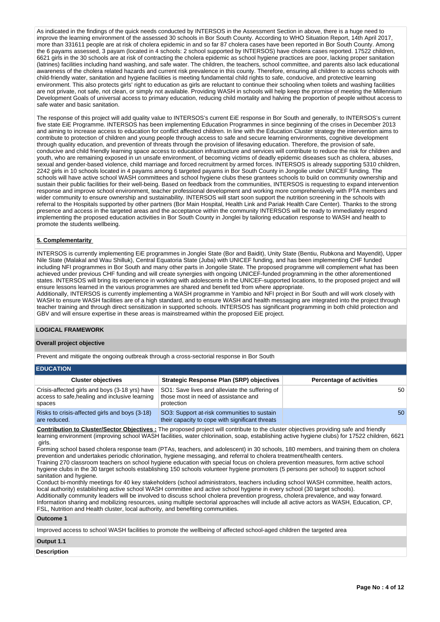As indicated in the findings of the quick needs conducted by INTERSOS in the Assessment Section in above, there is a huge need to improve the learning environment of the assessed 30 schools in Bor South County. According to WHO Situation Report, 14th April 2017, more than 331611 people are at risk of cholera epidemic in and so far 87 cholera cases have been reported in Bor South County. Among the 6 payams assessed, 3 payam (located in 4 schools: 2 school supported by INTERSOS) have cholera cases reported. 17522 children, 6621 girls in the 30 schools are at risk of contracting the cholera epidemic as school hygiene practices are poor, lacking proper sanitation (latrines) facilities including hand washing, and safe water. The children, the teachers, school committee, and parents also lack educational awareness of the cholera related hazards and current risk prevalence in this county. Therefore, ensuring all children to access schools with child-friendly water, sanitation and hygiene facilities is meeting fundamental child rights to safe, conducive, and protective learning environment. This also protects girls' right to education as girls are reluctant to continue their schooling when toilets and washing facilities are not private, not safe, not clean, or simply not available. Providing WASH in schools will help keep the promise of meeting the Millennium Development Goals of universal access to primary education, reducing child mortality and halving the proportion of people without access to safe water and basic sanitation.

The response of this project will add quality value to INTERSOS's current EiE response in Bor South and generally, to INTERSOS's current five state EiE Programme. INTERSOS has been implementing Education Programmes in since beginning of the crises in December 2013 and aiming to increase access to education for conflict affected children. In line with the Education Cluster strategy the intervention aims to contribute to protection of children and young people through access to safe and secure learning environments, cognitive development through quality education, and prevention of threats through the provision of lifesaving education. Therefore, the provision of safe, conducive and child friendly learning space access to education infrastructure and services will contribute to reduce the risk for children and youth, who are remaining exposed in un unsafe environment, of becoming victims of deadly epidemic diseases such as cholera, abuses, sexual and gender-based violence, child marriage and forced recruitment by armed forces. INTERSOS is already supporting 5310 children, 2242 girls in 10 schools located in 4 payams among 6 targeted payams in Bor South County in Jongolie under UNICEF funding. The schools will have active school WASH committees and school hygiene clubs these grantees schools to build on community ownership and sustain their public facilities for their well-being. Based on feedback from the communities, INTERSOS is requesting to expand intervention response and improve school environment, teacher professional development and working more comprehensively with PTA members and wider community to ensure ownership and sustainability. INTERSOS will start soon support the nutrition screening in the schools with referral to the Hospitals supported by other partners (Bor Main Hospital, Health Link and Pariak Health Care Center). Thanks to the strong presence and access in the targeted areas and the acceptance within the community INTERSOS will be ready to immediately respond implementing the proposed education activities in Bor South County in Jonglei by tailoring education response to WASH and health to promote the students wellbeing.

# **5. Complementarity**

INTERSOS is currently implementing EiE programmes in Jonglei State (Bor and Baidit), Unity State (Bentiu, Rubkona and Mayendit), Upper Nile State (Malakal and Wau Shilluk), Central Equatoria State (Juba) with UNICEF funding, and has been implementing CHF funded including NFI programmes in Bor South and many other parts in Jongolie State. The proposed programme will complement what has been achieved under previous CHF funding and will create synergies with ongoing UNICEF-funded programming in the other aforementioned states. INTERSOS will bring its experience in working with adolescents in the UNICEF-supported locations, to the proposed project and will ensure lessons learned in the various programmes are shared and benefit ted from where appropriate.

Additionally, INTERSOS is currently implementing a WASH programme in Yambio and NFI project in Bor South and will work closely with WASH to ensure WASH facilities are of a high standard, and to ensure WASH and health messaging are integrated into the project through teacher training and through direct sensitization in supported schools. INTERSOS has significant programming in both child protection and GBV and will ensure expertise in these areas is mainstreamed within the proposed EiE project.

## **LOGICAL FRAMEWORK**

### **Overall project objective**

Prevent and mitigate the ongoing outbreak through a cross-sectorial response in Bor South

| <b>EDUCATION</b>                                                                                           |                                                                                                      |                                 |  |  |  |  |  |  |  |  |  |
|------------------------------------------------------------------------------------------------------------|------------------------------------------------------------------------------------------------------|---------------------------------|--|--|--|--|--|--|--|--|--|
| <b>Cluster objectives</b>                                                                                  | Strategic Response Plan (SRP) objectives                                                             | <b>Percentage of activities</b> |  |  |  |  |  |  |  |  |  |
| Crisis-affected girls and boys (3-18 yrs) have<br>access to safe, healing and inclusive learning<br>spaces | SO1: Save lives and alleviate the suffering of<br>those most in need of assistance and<br>protection | 50                              |  |  |  |  |  |  |  |  |  |
| Risks to crisis-affected girls and boys (3-18)<br>are reduced.                                             | SO3: Support at-risk communities to sustain<br>their capacity to cope with significant threats       | 50                              |  |  |  |  |  |  |  |  |  |

**Contribution to Cluster/Sector Objectives :** The proposed project will contribute to the cluster objectives providing safe and friendly learning environment (improving school WASH facilities, water chlorination, soap, establishing active hygiene clubs) for 17522 children, 6621 girls.

Forming school based cholera response team (PTAs, teachers, and adolescent) in 30 schools, 180 members, and training them on cholera prevention and undertakes periodic chlorination, hygiene messaging, and referral to cholera treatment/health centers. Training 270 classroom teachers on school hygiene education with special focus on cholera prevention measures, form active school hygiene clubs in the 30 target schools establishing 150 schools volunteer hygiene promoters (5 persons per school) to support school

sanitation and hygiene. Conduct bi-monthly meetings for 40 key stakeholders (school administrators, teachers including school WASH committee, health actors,

local authority) establishing active school WASH committee and active school hygiene in every school (30 target schools). Additionally community leaders will be involved to discuss school cholera prevention progress, cholera prevalence, and way forward. Information sharing and mobilizing resources, using multiple sectorial approaches will include all active actors as WASH, Education, CP, FSL, Nutrition and Health cluster, local authority, and benefiting communities.

### **Outcome 1**

Improved access to school WASH facilities to promote the wellbeing of affected school-aged children the targeted area

# **Output 1.1**

**Description**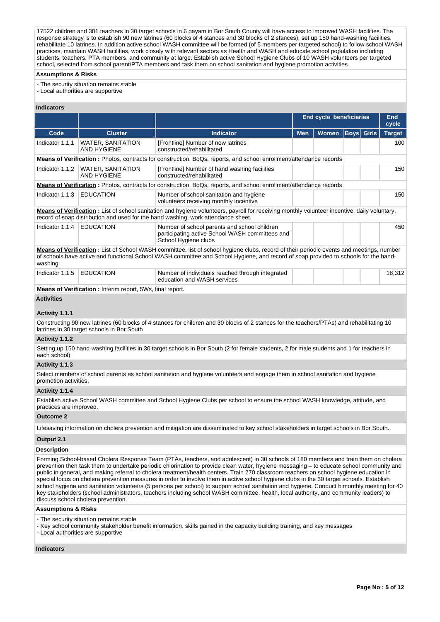17522 children and 301 teachers in 30 target schools in 6 payam in Bor South County will have access to improved WASH facilities. The response strategy is to establish 90 new latrines (60 blocks of 4 stances and 30 blocks of 2 stances), set up 150 hand-washing facilities, rehabilitate 10 latrines. In addition active school WASH committee will be formed (of 5 members per targeted school) to follow school WASH practices, maintain WASH facilities, work closely with relevant sectors as Health and WASH and educate school population including students, teachers, PTA members, and community at large. Establish active School Hygiene Clubs of 10 WASH volunteers per targeted school, selected from school parent/PTA members and task them on school sanitation and hygiene promotion activities.

#### **Assumptions & Risks**

- The security situation remains stable

- Local authorities are supportive

### **Indicators**

|                                                                                                                                                                                                                                                                                                                                                                                                                                                                                                                                                                                                                                                                                                                                                                                                                                                                                                    |                                                            |                                                                                                                                            | <b>End cycle beneficiaries</b> | End<br>cycle |      |              |               |  |  |  |  |
|----------------------------------------------------------------------------------------------------------------------------------------------------------------------------------------------------------------------------------------------------------------------------------------------------------------------------------------------------------------------------------------------------------------------------------------------------------------------------------------------------------------------------------------------------------------------------------------------------------------------------------------------------------------------------------------------------------------------------------------------------------------------------------------------------------------------------------------------------------------------------------------------------|------------------------------------------------------------|--------------------------------------------------------------------------------------------------------------------------------------------|--------------------------------|--------------|------|--------------|---------------|--|--|--|--|
| Code                                                                                                                                                                                                                                                                                                                                                                                                                                                                                                                                                                                                                                                                                                                                                                                                                                                                                               | <b>Cluster</b>                                             | <b>Indicator</b>                                                                                                                           | <b>Men</b>                     | <b>Women</b> | Boys | <b>Girls</b> | <b>Target</b> |  |  |  |  |
| Indicator 1.1.1                                                                                                                                                                                                                                                                                                                                                                                                                                                                                                                                                                                                                                                                                                                                                                                                                                                                                    | <b>WATER, SANITATION</b><br>AND HYGIENE                    | [Frontline] Number of new latrines<br>constructed/rehabilitated                                                                            |                                |              |      |              | 100           |  |  |  |  |
|                                                                                                                                                                                                                                                                                                                                                                                                                                                                                                                                                                                                                                                                                                                                                                                                                                                                                                    |                                                            | Means of Verification: Photos, contracts for construction, BoQs, reports, and school enrollment/attendance records                         |                                |              |      |              |               |  |  |  |  |
|                                                                                                                                                                                                                                                                                                                                                                                                                                                                                                                                                                                                                                                                                                                                                                                                                                                                                                    | Indicator 1.1.2   WATER, SANITATION<br><b>AND HYGIENE</b>  | [Frontline] Number of hand washing facilities<br>constructed/rehabilitated                                                                 |                                |              |      |              | 150           |  |  |  |  |
| Means of Verification: Photos, contracts for construction, BoQs, reports, and school enrollment/attendance records                                                                                                                                                                                                                                                                                                                                                                                                                                                                                                                                                                                                                                                                                                                                                                                 |                                                            |                                                                                                                                            |                                |              |      |              |               |  |  |  |  |
| Indicator 1.1.3   EDUCATION                                                                                                                                                                                                                                                                                                                                                                                                                                                                                                                                                                                                                                                                                                                                                                                                                                                                        |                                                            | Number of school sanitation and hygiene<br>volunteers receiving monthly incentive                                                          |                                |              |      |              | 150           |  |  |  |  |
| Means of Verification: List of school sanitation and hygiene volunteers, payroll for receiving monthly volunteer incentive, daily voluntary,<br>record of soap distribution and used for the hand washing, work attendance sheet.                                                                                                                                                                                                                                                                                                                                                                                                                                                                                                                                                                                                                                                                  |                                                            |                                                                                                                                            |                                |              |      |              |               |  |  |  |  |
| Indicator 1.1.4                                                                                                                                                                                                                                                                                                                                                                                                                                                                                                                                                                                                                                                                                                                                                                                                                                                                                    | <b>EDUCATION</b>                                           | Number of school parents and school children<br>participating active School WASH committees and<br>School Hygiene clubs                    |                                |              |      |              | 450           |  |  |  |  |
| Means of Verification: List of School WASH committee, list of school hygiene clubs, record of their periodic events and meetings, number<br>of schools have active and functional School WASH committee and School Hygiene, and record of soap provided to schools for the hand-<br>washing                                                                                                                                                                                                                                                                                                                                                                                                                                                                                                                                                                                                        |                                                            |                                                                                                                                            |                                |              |      |              |               |  |  |  |  |
| Indicator 1.1.5                                                                                                                                                                                                                                                                                                                                                                                                                                                                                                                                                                                                                                                                                                                                                                                                                                                                                    | <b>EDUCATION</b>                                           | Number of individuals reached through integrated<br>education and WASH services                                                            |                                |              |      |              | 18,312        |  |  |  |  |
|                                                                                                                                                                                                                                                                                                                                                                                                                                                                                                                                                                                                                                                                                                                                                                                                                                                                                                    | Means of Verification : Interim report, 5Ws, final report. |                                                                                                                                            |                                |              |      |              |               |  |  |  |  |
| <b>Activities</b>                                                                                                                                                                                                                                                                                                                                                                                                                                                                                                                                                                                                                                                                                                                                                                                                                                                                                  |                                                            |                                                                                                                                            |                                |              |      |              |               |  |  |  |  |
| Activity 1.1.1                                                                                                                                                                                                                                                                                                                                                                                                                                                                                                                                                                                                                                                                                                                                                                                                                                                                                     |                                                            |                                                                                                                                            |                                |              |      |              |               |  |  |  |  |
|                                                                                                                                                                                                                                                                                                                                                                                                                                                                                                                                                                                                                                                                                                                                                                                                                                                                                                    | latrines in 30 target schools in Bor South                 | Constructing 90 new latrines (60 blocks of 4 stances for children and 30 blocks of 2 stances for the teachers/PTAs) and rehabilitating 10  |                                |              |      |              |               |  |  |  |  |
| Activity 1.1.2                                                                                                                                                                                                                                                                                                                                                                                                                                                                                                                                                                                                                                                                                                                                                                                                                                                                                     |                                                            |                                                                                                                                            |                                |              |      |              |               |  |  |  |  |
| each school)                                                                                                                                                                                                                                                                                                                                                                                                                                                                                                                                                                                                                                                                                                                                                                                                                                                                                       |                                                            | Setting up 150 hand-washing facilities in 30 target schools in Bor South (2 for female students, 2 for male students and 1 for teachers in |                                |              |      |              |               |  |  |  |  |
| Activity 1.1.3                                                                                                                                                                                                                                                                                                                                                                                                                                                                                                                                                                                                                                                                                                                                                                                                                                                                                     |                                                            |                                                                                                                                            |                                |              |      |              |               |  |  |  |  |
| promotion activities.                                                                                                                                                                                                                                                                                                                                                                                                                                                                                                                                                                                                                                                                                                                                                                                                                                                                              |                                                            | Select members of school parents as school sanitation and hygiene volunteers and engage them in school sanitation and hygiene              |                                |              |      |              |               |  |  |  |  |
| Activity 1.1.4                                                                                                                                                                                                                                                                                                                                                                                                                                                                                                                                                                                                                                                                                                                                                                                                                                                                                     |                                                            |                                                                                                                                            |                                |              |      |              |               |  |  |  |  |
| practices are improved.                                                                                                                                                                                                                                                                                                                                                                                                                                                                                                                                                                                                                                                                                                                                                                                                                                                                            |                                                            | Establish active School WASH committee and School Hygiene Clubs per school to ensure the school WASH knowledge, attitude, and              |                                |              |      |              |               |  |  |  |  |
| <b>Outcome 2</b>                                                                                                                                                                                                                                                                                                                                                                                                                                                                                                                                                                                                                                                                                                                                                                                                                                                                                   |                                                            |                                                                                                                                            |                                |              |      |              |               |  |  |  |  |
|                                                                                                                                                                                                                                                                                                                                                                                                                                                                                                                                                                                                                                                                                                                                                                                                                                                                                                    |                                                            | Lifesaving information on cholera prevention and mitigation are disseminated to key school stakeholders in target schools in Bor South.    |                                |              |      |              |               |  |  |  |  |
| Output 2.1                                                                                                                                                                                                                                                                                                                                                                                                                                                                                                                                                                                                                                                                                                                                                                                                                                                                                         |                                                            |                                                                                                                                            |                                |              |      |              |               |  |  |  |  |
| <b>Description</b>                                                                                                                                                                                                                                                                                                                                                                                                                                                                                                                                                                                                                                                                                                                                                                                                                                                                                 |                                                            |                                                                                                                                            |                                |              |      |              |               |  |  |  |  |
| Forming School-based Cholera Response Team (PTAs, teachers, and adolescent) in 30 schools of 180 members and train them on cholera<br>prevention then task them to undertake periodic chlorination to provide clean water, hygiene messaging – to educate school community and<br>public in general, and making referral to cholera treatment/health centers. Train 270 classroom teachers on school hygiene education in<br>special focus on cholera prevention measures in order to involve them in active school hygiene clubs in the 30 target schools. Establish<br>school hygiene and sanitation volunteers (5 persons per school) to support school sanitation and hygiene. Conduct bimonthly meeting for 40<br>key stakeholders (school administrators, teachers including school WASH committee, health, local authority, and community leaders) to<br>discuss school cholera prevention. |                                                            |                                                                                                                                            |                                |              |      |              |               |  |  |  |  |

### **Assumptions & Risks**

- The security situation remains stable

- Key school community stakeholder benefit information, skills gained in the capacity building training, and key messages

- Local authorities are supportive

### **Indicators**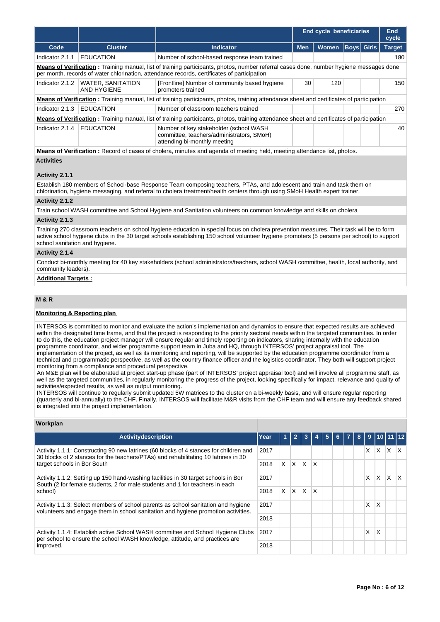|                                                                                                                                                                                                                                        |                                                                                                                                          |                                                                                                                                                    | <b>End cycle beneficiaries</b> |              |  | <b>End</b><br>cycle |               |  |  |  |
|----------------------------------------------------------------------------------------------------------------------------------------------------------------------------------------------------------------------------------------|------------------------------------------------------------------------------------------------------------------------------------------|----------------------------------------------------------------------------------------------------------------------------------------------------|--------------------------------|--------------|--|---------------------|---------------|--|--|--|
| Code                                                                                                                                                                                                                                   | <b>Cluster</b>                                                                                                                           | <b>Indicator</b>                                                                                                                                   | <b>Men</b>                     | <b>Women</b> |  | <b>Boys Girls</b>   | <b>Target</b> |  |  |  |
| Indicator 2.1.1                                                                                                                                                                                                                        | <b>EDUCATION</b>                                                                                                                         | Number of school-based response team trained                                                                                                       |                                |              |  |                     | 180           |  |  |  |
| Means of Verification: Training manual, list of training participants, photos, number referral cases done, number hygiene messages done<br>per month, records of water chlorination, attendance records, certificates of participation |                                                                                                                                          |                                                                                                                                                    |                                |              |  |                     |               |  |  |  |
| Indicator 2.1.2                                                                                                                                                                                                                        | WATER, SANITATION<br><b>AND HYGIENE</b>                                                                                                  | [Frontline] Number of community based hygiene<br>promoters trained                                                                                 | 30                             | 120          |  |                     | 150           |  |  |  |
|                                                                                                                                                                                                                                        |                                                                                                                                          | Means of Verification: Training manual, list of training participants, photos, training attendance sheet and certificates of participation         |                                |              |  |                     |               |  |  |  |
| Indicator 2.1.3                                                                                                                                                                                                                        | <b>EDUCATION</b>                                                                                                                         | Number of classroom teachers trained                                                                                                               |                                |              |  |                     | 270           |  |  |  |
|                                                                                                                                                                                                                                        |                                                                                                                                          | <b>Means of Verification</b> : Training manual, list of training participants, photos, training attendance sheet and certificates of participation |                                |              |  |                     |               |  |  |  |
| Indicator 2.1.4                                                                                                                                                                                                                        | <b>EDUCATION</b><br>Number of key stakeholder (school WASH)<br>committee, teachers/administrators, SMoH)<br>attending bi-monthly meeting |                                                                                                                                                    |                                |              |  |                     | 40            |  |  |  |
|                                                                                                                                                                                                                                        |                                                                                                                                          | <b>Means of Verification</b> : Record of cases of cholera, minutes and agenda of meeting held, meeting attendance list, photos.                    |                                |              |  |                     |               |  |  |  |

**Activities**

# **Activity 2.1.1**

Establish 180 members of School-base Response Team composing teachers, PTAs, and adolescent and train and task them on chlorination, hygiene messaging, and referral to cholera treatment/health centers through using SMoH Health expert trainer.

## **Activity 2.1.2**

Train school WASH committee and School Hygiene and Sanitation volunteers on common knowledge and skills on cholera

# **Activity 2.1.3**

Training 270 classroom teachers on school hygiene education in special focus on cholera prevention measures. Their task will be to form active school hygiene clubs in the 30 target schools establishing 150 school volunteer hygiene promoters (5 persons per school) to support school sanitation and hygiene.

# **Activity 2.1.4**

Conduct bi-monthly meeting for 40 key stakeholders (school administrators/teachers, school WASH committee, health, local authority, and community leaders).

# **Additional Targets :**

# **M & R**

**Workplan**

# **Monitoring & Reporting plan**

INTERSOS is committed to monitor and evaluate the action's implementation and dynamics to ensure that expected results are achieved within the designated time frame, and that the project is responding to the priority sectoral needs within the targeted communities. In order to do this, the education project manager will ensure regular and timely reporting on indicators, sharing internally with the education programme coordinator, and wider programme support team in Juba and HQ, through INTERSOS' project appraisal tool. The implementation of the project, as well as its monitoring and reporting, will be supported by the education programme coordinator from a technical and programmatic perspective, as well as the country finance officer and the logistics coordinator. They both will support project monitoring from a compliance and procedural perspective.

An M&E plan will be elaborated at project start-up phase (part of INTERSOS' project appraisal tool) and will involve all programme staff, as well as the targeted communities, in regularly monitoring the progress of the project, looking specifically for impact, relevance and quality of activities/expected results, as well as output monitoring.

INTERSOS will continue to regularly submit updated 5W matrices to the cluster on a bi-weekly basis, and will ensure regular reporting (quarterly and bi-annually) to the CHF. Finally, INTERSOS will facilitate M&R visits from the CHF team and will ensure any feedback shared is integrated into the project implementation.

| Year | 1  | $\overline{2}$ |    |          | 5 | 6 | 8      | 9 |                                            |   |  |
|------|----|----------------|----|----------|---|---|--------|---|--------------------------------------------|---|--|
| 2017 |    |                |    |          |   |   |        | X | X                                          | X |  |
| 2018 | X. | X.             | X. | $\times$ |   |   |        |   | 10 11 12 <br>IX.<br>X<br>X<br>X.<br>X<br>X |   |  |
| 2017 |    |                |    |          |   |   |        | X |                                            |   |  |
| 2018 | X  | $\mathsf{X}$   | X  | X        |   |   |        |   |                                            |   |  |
| 2017 |    |                |    |          |   |   | X<br>X |   |                                            |   |  |
| 2018 |    |                |    |          |   |   |        |   |                                            |   |  |
| 2017 |    |                |    |          |   |   |        |   |                                            |   |  |
| 2018 |    |                |    |          |   |   |        |   |                                            |   |  |
|      |    |                |    |          |   |   |        |   |                                            |   |  |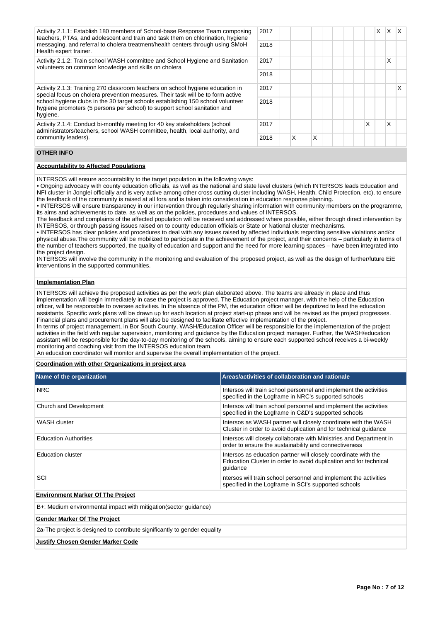| Activity 2.1.1: Establish 180 members of School-base Response Team composing<br>teachers, PTAs, and adolescent and train and task them on chlorination, hygiene                                                                                                                                                                               | 2017 |   |   |  |   | X | X | $\mathsf{I} \mathsf{X}$ |
|-----------------------------------------------------------------------------------------------------------------------------------------------------------------------------------------------------------------------------------------------------------------------------------------------------------------------------------------------|------|---|---|--|---|---|---|-------------------------|
| messaging, and referral to cholera treatment/health centers through using SMoH<br>Health expert trainer.                                                                                                                                                                                                                                      | 2018 |   |   |  |   |   |   |                         |
| Activity 2.1.2: Train school WASH committee and School Hygiene and Sanitation<br>volunteers on common knowledge and skills on cholera                                                                                                                                                                                                         | 2017 |   |   |  |   |   | x |                         |
|                                                                                                                                                                                                                                                                                                                                               | 2018 |   |   |  |   |   |   |                         |
| Activity 2.1.3: Training 270 classroom teachers on school hygiene education in<br>special focus on cholera prevention measures. Their task will be to form active<br>school hygiene clubs in the 30 target schools establishing 150 school volunteer<br>hygiene promoters (5 persons per school) to support school sanitation and<br>hygiene. |      |   |   |  |   |   |   | х                       |
|                                                                                                                                                                                                                                                                                                                                               |      |   |   |  |   |   |   |                         |
| Activity 2.1.4: Conduct bi-monthly meeting for 40 key stakeholders (school<br>administrators/teachers, school WASH committee, health, local authority, and                                                                                                                                                                                    | 2017 |   |   |  | X |   | X |                         |
| community leaders).                                                                                                                                                                                                                                                                                                                           | 2018 | X | x |  |   |   |   |                         |

## **OTHER INFO**

### **Accountability to Affected Populations**

INTERSOS will ensure accountability to the target population in the following ways:

• Ongoing advocacy with county education officials, as well as the national and state level clusters (which INTERSOS leads Education and NFI cluster in Jonglei officially and is very active among other cross cutting cluster including WASH, Health, Child Protection, etc), to ensure the feedback of the community is raised at all fora and is taken into consideration in education response planning.

• INTERSOS will ensure transparency in our intervention through regularly sharing information with community members on the programme, its aims and achievements to date, as well as on the policies, procedures and values of INTERSOS.

The feedback and complaints of the affected population will be received and addressed where possible, either through direct intervention by INTERSOS, or through passing issues raised on to county education officials or State or National cluster mechanisms.

• INTERSOS has clear policies and procedures to deal with any issues raised by affected individuals regarding sensitive violations and/or physical abuse.The community will be mobilized to participate in the achievement of the project, and their concerns – particularly in terms of the number of teachers supported, the quality of education and support and the need for more learning spaces – have been integrated into the project design.

INTERSOS will involve the community in the monitoring and evaluation of the proposed project, as well as the design of further/future EiE interventions in the supported communities.

### **Implementation Plan**

INTERSOS will achieve the proposed activities as per the work plan elaborated above. The teams are already in place and thus implementation will begin immediately in case the project is approved. The Education project manager, with the help of the Education officer, will be responsible to oversee activities. In the absence of the PM, the education officer will be deputized to lead the education assistants. Specific work plans will be drawn up for each location at project start-up phase and will be revised as the project progresses. Financial plans and procurement plans will also be designed to facilitate effective implementation of the project.

In terms of project management, in Bor South County, WASH/Education Officer will be responsible for the implementation of the project activities in the field with regular supervision, monitoring and guidance by the Education project manager. Further, the WASH/education assistant will be responsible for the day-to-day monitoring of the schools, aiming to ensure each supported school receives a bi-weekly monitoring and coaching visit from the INTERSOS education team.

An education coordinator will monitor and supervise the overall implementation of the project.

### **Coordination with other Organizations in project area**

| Name of the organization                                                  | Areas/activities of collaboration and rationale                                                                                                 |  |  |  |  |  |  |  |
|---------------------------------------------------------------------------|-------------------------------------------------------------------------------------------------------------------------------------------------|--|--|--|--|--|--|--|
| <b>NRC</b>                                                                | Intersos will train school personnel and implement the activities<br>specified in the Logframe in NRC's supported schools                       |  |  |  |  |  |  |  |
| Church and Development                                                    | Intersos will train school personnel and implement the activities<br>specified in the Logframe in C&D's supported schools                       |  |  |  |  |  |  |  |
| WASH cluster                                                              | Intersos as WASH partner will closely coordinate with the WASH<br>Cluster in order to avoid duplication and for technical quidance              |  |  |  |  |  |  |  |
| <b>Education Authorities</b>                                              | Intersos will closely collaborate with Ministries and Department in<br>order to ensure the sustainability and connectiveness                    |  |  |  |  |  |  |  |
| <b>Education cluster</b>                                                  | Intersos as education partner will closely coordinate with the<br>Education Cluster in order to avoid duplication and for technical<br>quidance |  |  |  |  |  |  |  |
| SCI                                                                       | ntersos will train school personnel and implement the activities<br>specified in the Logframe in SCI's supported schools                        |  |  |  |  |  |  |  |
| <b>Environment Marker Of The Project</b>                                  |                                                                                                                                                 |  |  |  |  |  |  |  |
| B+: Medium environmental impact with mitigation (sector quidance)         |                                                                                                                                                 |  |  |  |  |  |  |  |
| <b>Gender Marker Of The Project</b>                                       |                                                                                                                                                 |  |  |  |  |  |  |  |
| 2a-The project is designed to contribute significantly to gender equality |                                                                                                                                                 |  |  |  |  |  |  |  |
| <b>Justify Chosen Gender Marker Code</b>                                  |                                                                                                                                                 |  |  |  |  |  |  |  |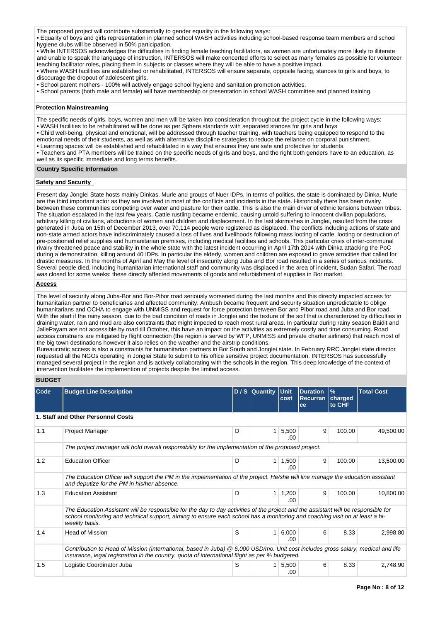The proposed project will contribute substantially to gender equality in the following ways:

• Equality of boys and girls representation in planned school WASH activities including school-based response team members and school hygiene clubs will be observed in 50% participation.

• While INTERSOS acknowledges the difficulties in finding female teaching facilitators, as women are unfortunately more likely to illiterate and unable to speak the language of instruction, INTERSOS will make concerted efforts to select as many females as possible for volunteer teaching facilitator roles, placing them in subjects or classes where they will be able to have a positive impact.

• Where WASH facilities are established or rehabilitated, INTERSOS will ensure separate, opposite facing, stances to girls and boys, to discourage the dropout of adolescent girls.

• School parent mothers - 100% will actively engage school hygiene and sanitation promotion activities.

• School parents (both male and female) will have membership or presentation in school WASH committee and planned training.

### **Protection Mainstreaming**

The specific needs of girls, boys, women and men will be taken into consideration throughout the project cycle in the following ways:

• WASH facilities to be rehabilitated will be done as per Sphere standards with separated stances for girls and boys

• Child well-being, physical and emotional, will be addressed through teacher training, with teachers being equipped to respond to the emotional needs of their students, as well as with alternative discipline strategies to reduce the reliance on corporal punishment.

• Learning spaces will be established and rehabilitated in a way that ensures they are safe and protective for students.

• Teachers and PTA members will be trained on the specific needs of girls and boys, and the right both genders have to an education, as well as its specific immediate and long terms benefits.

### **Country Specific Information**

### **Safety and Security**

Present day Jonglei State hosts mainly Dinkas, Murle and groups of Nuer IDPs. In terms of politics, the state is dominated by Dinka. Murle are the third important actor as they are involved in most of the conflicts and incidents in the state. Historically there has been rivalry between these communities competing over water and pasture for their cattle. This is also the main driver of ethnic tensions between tribes. The situation escalated in the last few years. Cattle rustling became endemic, causing untold suffering to innocent civilian populations, arbitrary killing of civilians, abductions of women and children and displacement. In the last skirmishes in Jonglei, resulted from the crisis generated in Juba on 15th of December 2013, over 70,114 people were registered as displaced. The conflicts including actions of state and non-state armed actors have indiscriminately caused a loss of lives and livelihoods following mass looting of cattle, looting or destruction of pre-positioned relief supplies and humanitarian premises, including medical facilities and schools. This particular crisis of inter-communal rivalry threatened peace and stability in the whole state with the latest incident occurring in April 17th 2014 with Dinka attacking the PoC during a demonstration, killing around 40 IDPs. In particular the elderly, women and children are exposed to grave atrocities that called for drastic measures. In the months of April and May the level of insecurity along Juba and Bor road resulted in a series of serious incidents. Several people died, including humanitarian international staff and community was displaced in the area of incident, Sudan Safari. The road was closed for some weeks: these directly affected movements of goods and refurbishment of supplies in Bor market.

## **Access**

The level of security along Juba-Bor and Bor-Pibor road seriously worsened during the last months and this directly impacted access for humanitarian partner to beneficiaries and affected community. Ambush became frequent and security situation unpredictable to oblige humanitarians and OCHA to engage with UNMISS and request for force protection between Bor and Pibor road and Juba and Bor road. With the start if the rainy season, due to the bad condition of roads in Jonglei and the texture of the soil that is characterized by difficulties in draining water, rain and mud are also constraints that might impeded to reach most rural areas. In particular during rainy season Baidit and JallePayam are not accessible by road till October, this have an impact on the activities as extremely costly and time consuming. Road access constrains are mitigated by flight connection (the region is served by WFP, UNMISS and private charter airliners) that reach most of the big town destinations however it also relies on the weather and the airstrip conditions.

Bureaucratic access is also a constraints for humanitarian partners in Bor South and Jonglei state. In February RRC Jonglei state director requested all the NGOs operating in Jonglei State to submit to his office sensitive project documentation. INTERSOS has successfully managed several project in the region and is actively collaborating with the schools in the region. This deep knowledge of the context of intervention facilitates the implemention of projects despite the limited access.

# **BUDGET**

| Code | <b>Budget Line Description</b>                                                                                                                                                                                                                                                     |   | D/S Quantity Unit | cost          | <b>Duration</b><br><b>Recurran</b><br>ce | $\frac{9}{6}$<br>charged<br>to CHF | <b>Total Cost</b> |  |  |  |  |
|------|------------------------------------------------------------------------------------------------------------------------------------------------------------------------------------------------------------------------------------------------------------------------------------|---|-------------------|---------------|------------------------------------------|------------------------------------|-------------------|--|--|--|--|
|      | 1. Staff and Other Personnel Costs                                                                                                                                                                                                                                                 |   |                   |               |                                          |                                    |                   |  |  |  |  |
| 1.1  | Project Manager                                                                                                                                                                                                                                                                    | D | 1                 | 5,500<br>.00. | 9                                        | 100.00                             | 49,500.00         |  |  |  |  |
|      | The project manager will hold overall responsibility for the implementation of the proposed project.                                                                                                                                                                               |   |                   |               |                                          |                                    |                   |  |  |  |  |
| 1.2  | <b>Education Officer</b>                                                                                                                                                                                                                                                           | D | 1                 | 1,500<br>.00  | 9                                        | 100.00                             | 13,500.00         |  |  |  |  |
|      | The Education Officer will support the PM in the implementation of the project. He/she will line manage the education assistant<br>and deputize for the PM in his/her absence.                                                                                                     |   |                   |               |                                          |                                    |                   |  |  |  |  |
| 1.3  | <b>Education Assistant</b>                                                                                                                                                                                                                                                         | D | 1                 | 1,200<br>.00  | 9                                        | 100.00                             | 10,800.00         |  |  |  |  |
|      | The Education Assistant will be responsible for the day to day activities of the project and the assistant will be responsible for<br>school monitoring and technical support, aiming to ensure each school has a monitoring and coaching visit on at least a bi-<br>weekly basis. |   |                   |               |                                          |                                    |                   |  |  |  |  |
| 1.4  | <b>Head of Mission</b>                                                                                                                                                                                                                                                             | S | 1                 | 6,000<br>.00. | 6                                        | 8.33                               | 2,998.80          |  |  |  |  |
|      | Contribution to Head of Mission (international, based in Juba) @ 6,000 USD/mo. Unit cost includes gross salary, medical and life<br>insurance, legal registration in the country, quota of international flight as per % budgeted.                                                 |   |                   |               |                                          |                                    |                   |  |  |  |  |
| 1.5  | Logistic Coordinator Juba                                                                                                                                                                                                                                                          | S | 1                 | 5,500<br>.00  | 6                                        | 8.33                               | 2,748.90          |  |  |  |  |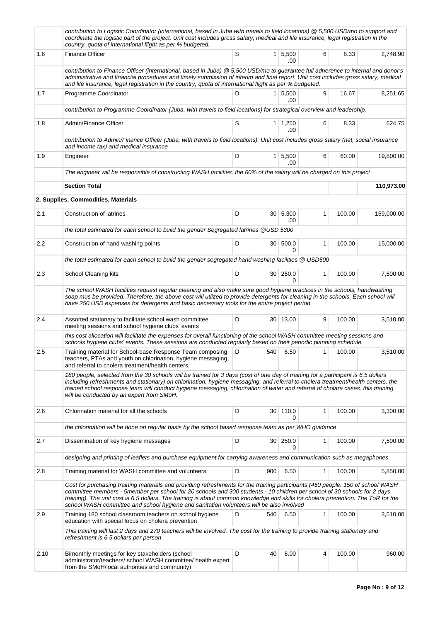|      | contribution to Logistic Coordinator (international, based in Juba with travels to field locations) @ 5,500 USD/mo to support and<br>coordinate the logistic part of the project. Unit cost includes gross salary, medical and life insurance, legal registration in the<br>country, quota of international flight as per % budgeted.                                                                                                                                                         |   |     |                       |              |        |            |
|------|-----------------------------------------------------------------------------------------------------------------------------------------------------------------------------------------------------------------------------------------------------------------------------------------------------------------------------------------------------------------------------------------------------------------------------------------------------------------------------------------------|---|-----|-----------------------|--------------|--------|------------|
| 1.6  | <b>Finance Officer</b>                                                                                                                                                                                                                                                                                                                                                                                                                                                                        | S |     | $1 \, 5,500$<br>.00   | 6            | 8.33   | 2,748.90   |
|      | contribution to Finance Officer (international, based in Juba) @ 5,500 USD/mo to guarantee full adherence to internal and donor's<br>administrative and financial procedures and timely submission of interim and final report. Unit cost includes gross salary, medical<br>and life insurance, legal registration in the country, quota of international flight as per % budgeted.                                                                                                           |   |     |                       |              |        |            |
| 1.7  | Programme Coordinator                                                                                                                                                                                                                                                                                                                                                                                                                                                                         | D |     | $1 \mid 5,500$<br>.00 | 9            | 16.67  | 8,251.65   |
|      | contribution to Programme Coordinator (Juba, with travels to field locations) for strategical overview and leadership.                                                                                                                                                                                                                                                                                                                                                                        |   |     |                       |              |        |            |
| 1.8  | Admin/Finance Officer                                                                                                                                                                                                                                                                                                                                                                                                                                                                         | S |     | $1 \mid 1,250$<br>.00 | 6            | 8.33   | 624.75     |
|      | contribution to Admin/Finance Officer (Juba, with travels to field locations). Unit cost includes gross salary (net, social insurance<br>and income tax) and medical insurance                                                                                                                                                                                                                                                                                                                |   |     |                       |              |        |            |
| 1.9  | Engineer                                                                                                                                                                                                                                                                                                                                                                                                                                                                                      | D |     | $1 \mid 5,500$<br>.00 | 6            | 60.00  | 19,800.00  |
|      | The engineer will be responsible of constructing WASH facilities. the 60% of the salary will be charged on this project                                                                                                                                                                                                                                                                                                                                                                       |   |     |                       |              |        |            |
|      | <b>Section Total</b>                                                                                                                                                                                                                                                                                                                                                                                                                                                                          |   |     |                       |              |        | 110,973.00 |
|      | 2. Supplies, Commodities, Materials                                                                                                                                                                                                                                                                                                                                                                                                                                                           |   |     |                       |              |        |            |
| 2.1  | <b>Construction of latrines</b>                                                                                                                                                                                                                                                                                                                                                                                                                                                               | D |     | 30 5,300<br>.00       | 1            | 100.00 | 159,000.00 |
|      | the total estimated for each school to build the gender Segregated latrines @USD 5300                                                                                                                                                                                                                                                                                                                                                                                                         |   |     |                       |              |        |            |
| 2.2  | Construction of hand washing points                                                                                                                                                                                                                                                                                                                                                                                                                                                           | D |     | 30 500.0<br>0         | 1            | 100.00 | 15,000.00  |
|      | the total estimated for each school to build the gender segregated hand washing facilities @ USD500                                                                                                                                                                                                                                                                                                                                                                                           |   |     |                       |              |        |            |
| 2.3  | School Cleaning kits                                                                                                                                                                                                                                                                                                                                                                                                                                                                          | D |     | 30   250.0<br>0       | 1            | 100.00 | 7,500.00   |
|      | The school WASH facilities request regular cleaning and also make sure good hygiene practices in the schools, handwashing<br>soap mus be provided. Therefore, the above cost will utlized to provide detergents for cleaning in the schools. Each school will<br>have 250 USD expenses for detergents and basic necessary tools for the entire project period.                                                                                                                                |   |     |                       |              |        |            |
| 2.4  | Assorted stationary to facilitate school wash committee<br>meeting sessions and school hygiene clubs' events                                                                                                                                                                                                                                                                                                                                                                                  | D |     | 30 13.00              | 9            | 100.00 | 3,510.00   |
|      | this cost allocation will facilitate the expenses for overall functioning of the school WASH committee meeting sessions and<br>schools hygiene clubs' events. These sessions are conducted regularly based on their periodic planning schedule.                                                                                                                                                                                                                                               |   |     |                       |              |        |            |
| 2.5  | Training material for School-base Response Team composing<br>teachers, PTAs and youth on chlorination, hygiene messaging,<br>and referral to cholera treatment/health centers.                                                                                                                                                                                                                                                                                                                | D | 540 | 6.50                  | 1            | 100.00 | 3,510.00   |
|      | 180 people, selected from the 30 schools will be trained for 3 days (cost of one day of training for a participant is 6.5 dollars<br>including refreshments and stationary) on chlorination, hygiene messaging, and referral to cholera treatment/health centers. the<br>trained school response team will conduct hygiene messaging, chlorination of water and referral of cholara cases. this training<br>will be conducted by an expert from SMoH.                                         |   |     |                       |              |        |            |
| 2.6  | Chlorination material for all the schools                                                                                                                                                                                                                                                                                                                                                                                                                                                     | D |     | 30 110.0<br>0         | 1            | 100.00 | 3,300.00   |
|      | the chlorination will be done on regular basis by the school based response team as per WHO guidance                                                                                                                                                                                                                                                                                                                                                                                          |   |     |                       |              |        |            |
| 2.7  | Dissemination of key hygiene messages                                                                                                                                                                                                                                                                                                                                                                                                                                                         | D |     | 30 250.0<br>0         | $\mathbf{1}$ | 100.00 | 7,500.00   |
|      | designing and printing of leaflets and purchase equipment for carrying awareness and communication such as megaphones.                                                                                                                                                                                                                                                                                                                                                                        |   |     |                       |              |        |            |
| 2.8  | Training material for WASH committee and volunteers                                                                                                                                                                                                                                                                                                                                                                                                                                           | D | 900 | 6.50                  | 1            | 100.00 | 5,850.00   |
|      | Cost for purchasing training materials and providing refreshments for the training participants (450 people: 150 of school WASH<br>committee members - 5member per school for 20 schools and 300 students - 10 children per school of 30 schools for 2 days<br>training). The unit cost is 6.5 dollars. The training is about common knowledge and skills for cholera prevention. The ToR for the<br>school WASH committee and school hygiene and sanitation volunteers will be also involved |   |     |                       |              |        |            |
| 2.9  | Training 180 school classroom teachers on school hygiene<br>education with special focus on cholera prevention                                                                                                                                                                                                                                                                                                                                                                                | D | 540 | 6.50                  | 1            | 100.00 | 3,510.00   |
|      | This training will last 2 days and 270 teachers will be involved. The cost for the training to provide training stationary and<br>refreshment is 6.5 dollars per person                                                                                                                                                                                                                                                                                                                       |   |     |                       |              |        |            |
| 2.10 | Bimonthly meetings for key stakeholders (school<br>administrator/teachers/ school WASH committee/ health expert<br>from the SMoH/local authorities and community)                                                                                                                                                                                                                                                                                                                             | D | 40  | 6.00                  | 4            | 100.00 | 960.00     |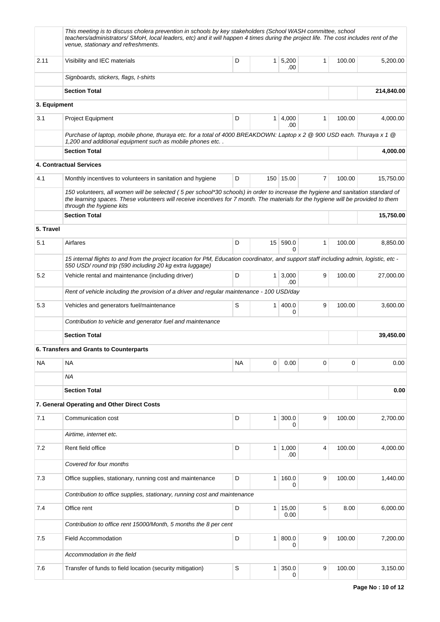|              | This meeting is to discuss cholera prevention in schools by key stakeholders (School WASH committee, school<br>teachers/administrators/ SMoH, local leaders, etc) and it will happen 4 times during the project life. The cost includes rent of the<br>venue, stationary and refreshments.        |           |                |               |              |        |            |  |  |  |  |  |
|--------------|---------------------------------------------------------------------------------------------------------------------------------------------------------------------------------------------------------------------------------------------------------------------------------------------------|-----------|----------------|---------------|--------------|--------|------------|--|--|--|--|--|
| 2.11         | Visibility and IEC materials                                                                                                                                                                                                                                                                      | D         | 1 <sup>1</sup> | 5,200<br>.00  | $\mathbf{1}$ | 100.00 | 5,200.00   |  |  |  |  |  |
|              | Signboards, stickers, flags, t-shirts                                                                                                                                                                                                                                                             |           |                |               |              |        |            |  |  |  |  |  |
|              | <b>Section Total</b>                                                                                                                                                                                                                                                                              |           |                |               |              |        | 214,840.00 |  |  |  |  |  |
| 3. Equipment |                                                                                                                                                                                                                                                                                                   |           |                |               |              |        |            |  |  |  |  |  |
| 3.1          | <b>Project Equipment</b>                                                                                                                                                                                                                                                                          | D         | $\mathbf{1}$   | 4,000<br>.00  | $\mathbf{1}$ | 100.00 | 4,000.00   |  |  |  |  |  |
|              | Purchase of laptop, mobile phone, thuraya etc. for a total of 4000 BREAKDOWN: Laptop x 2 @ 900 USD each. Thuraya x 1 @<br>1,200 and additional equipment such as mobile phones etc                                                                                                                |           |                |               |              |        |            |  |  |  |  |  |
|              | <b>Section Total</b>                                                                                                                                                                                                                                                                              |           |                |               |              |        | 4,000.00   |  |  |  |  |  |
|              | 4. Contractual Services                                                                                                                                                                                                                                                                           |           |                |               |              |        |            |  |  |  |  |  |
| 4.1          | Monthly incentives to volunteers in sanitation and hygiene                                                                                                                                                                                                                                        | D         |                | 150 15.00     | 7            | 100.00 | 15,750.00  |  |  |  |  |  |
|              | 150 volunteers, all women will be selected (5 per school*30 schools) in order to increase the hygiene and sanitation standard of<br>the learning spaces. These volunteers will receive incentives for 7 month. The materials for the hygiene will be provided to them<br>through the hygiene kits |           |                |               |              |        |            |  |  |  |  |  |
|              | <b>Section Total</b>                                                                                                                                                                                                                                                                              |           |                |               |              |        | 15,750.00  |  |  |  |  |  |
| 5. Travel    |                                                                                                                                                                                                                                                                                                   |           |                |               |              |        |            |  |  |  |  |  |
| 5.1          | Airfares                                                                                                                                                                                                                                                                                          | D         |                | 15 590.0<br>0 | $\mathbf{1}$ | 100.00 | 8,850.00   |  |  |  |  |  |
|              | 15 internal flights to and from the project location for PM, Education coordinator, and support staff including admin, logistic, etc -<br>550 USD/round trip (590 including 20 kg extra luggage)                                                                                                  |           |                |               |              |        |            |  |  |  |  |  |
| 5.2          | Vehicle rental and maintenance (including driver)                                                                                                                                                                                                                                                 | D         | 1 <sup>1</sup> | 3,000<br>.00  | 9            | 100.00 | 27,000.00  |  |  |  |  |  |
|              | Rent of vehicle including the provision of a driver and regular maintenance - 100 USD/day                                                                                                                                                                                                         |           |                |               |              |        |            |  |  |  |  |  |
| 5.3          | Vehicles and generators fuel/maintenance                                                                                                                                                                                                                                                          | S         | $\mathbf{1}$   | 400.0<br>0    | 9            | 100.00 | 3,600.00   |  |  |  |  |  |
|              | Contribution to vehicle and generator fuel and maintenance                                                                                                                                                                                                                                        |           |                |               |              |        |            |  |  |  |  |  |
|              | <b>Section Total</b>                                                                                                                                                                                                                                                                              |           |                |               |              |        | 39,450.00  |  |  |  |  |  |
|              | 6. Transfers and Grants to Counterparts                                                                                                                                                                                                                                                           |           |                |               |              |        |            |  |  |  |  |  |
| <b>NA</b>    | <b>NA</b>                                                                                                                                                                                                                                                                                         | <b>NA</b> | 0              | 0.00          | 0            | 0      | 0.00       |  |  |  |  |  |
|              | <b>NA</b>                                                                                                                                                                                                                                                                                         |           |                |               |              |        |            |  |  |  |  |  |
|              | <b>Section Total</b>                                                                                                                                                                                                                                                                              |           |                |               |              |        | 0.00       |  |  |  |  |  |
|              | 7. General Operating and Other Direct Costs                                                                                                                                                                                                                                                       |           |                |               |              |        |            |  |  |  |  |  |
| 7.1          | Communication cost                                                                                                                                                                                                                                                                                | D         | $\mathbf{1}$   | 300.0<br>0    | 9            | 100.00 | 2,700.00   |  |  |  |  |  |
|              | Airtime, internet etc.                                                                                                                                                                                                                                                                            |           |                |               |              |        |            |  |  |  |  |  |
| 7.2          | Rent field office                                                                                                                                                                                                                                                                                 | D         | $\mathbf{1}$   | 1,000<br>.00. | 4            | 100.00 | 4,000.00   |  |  |  |  |  |
|              | Covered for four months                                                                                                                                                                                                                                                                           |           |                |               |              |        |            |  |  |  |  |  |
| 7.3          | Office supplies, stationary, running cost and maintenance                                                                                                                                                                                                                                         | D         | $\mathbf{1}$   | 160.0<br>0    | 9            | 100.00 | 1,440.00   |  |  |  |  |  |
|              | Contribution to office supplies, stationary, running cost and maintenance                                                                                                                                                                                                                         |           |                |               |              |        |            |  |  |  |  |  |
| 7.4          | Office rent                                                                                                                                                                                                                                                                                       | D         | 1              | 15,00<br>0.00 | 5            | 8.00   | 6,000.00   |  |  |  |  |  |
|              | Contribution to office rent 15000/Month, 5 months the 8 per cent                                                                                                                                                                                                                                  |           |                |               |              |        |            |  |  |  |  |  |
| 7.5          | <b>Field Accommodation</b>                                                                                                                                                                                                                                                                        | D         | $\mathbf{1}$   | 800.0<br>0    | 9            | 100.00 | 7,200.00   |  |  |  |  |  |
|              | Accommodation in the field                                                                                                                                                                                                                                                                        |           |                |               |              |        |            |  |  |  |  |  |
| 7.6          | Transfer of funds to field location (security mitigation)                                                                                                                                                                                                                                         | S         | 1              | 350.0<br>0    | 9            | 100.00 | 3,150.00   |  |  |  |  |  |